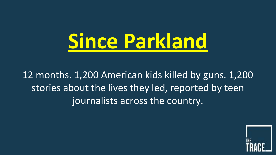

12 months. 1,200 American kids killed by guns. 1,200 stories about the lives they led, reported by teen journalists across the country.

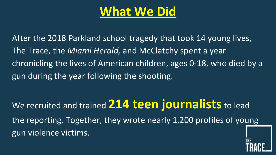# **What We Did**

After the 2018 Parkland school tragedy that took 14 young lives, The Trace, the *Miami Herald,* and McClatchy spent a year chronicling the lives of American children, ages 0-18, who died by a gun during the year following the shooting.

We recruited and trained **214 teen journalists** to lead the reporting. Together, they wrote nearly 1,200 profiles of young gun violence victims.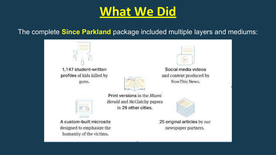# **What We Did**

### The complete **Since Parkland** package included multiple layers and mediums:



humanity of the victims.

newspaper partners.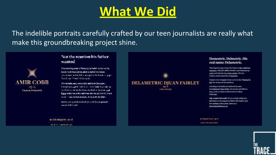## **What We Did**

The indelible portraits carefully crafted by our teen journalists are really what make this groundbreaking project shine.



### Not the reunion his father wanted

They man highway in Palentary, he hadn't species to his thicker. Their homesters, adopt occurred from mone. and makes a His Ether surprise the Package and Next cast involving costs.

Two mondaturing wateria fire station in Dunations. Terrory National Art and The Community Codd, incependent in duct the transformation is studied to be state and these sustainable of the state of a concept and the longed in who, - unit is that means, workprowly ddri.

Recording to a distinct Street principal liquids generate wood to the lead.

by the State after states MARTIN-CHANGER CO.



#### Dementric, Delmetric, His real name: Delametric.

They all got his name wrong. The Clarken I selam called him. Demonstria, NBCAASC affiliate NTAM (vanni Delametria) in a mary and theleneous fur a phone interior. The Gues Volunce Archive Hand Mill as Damangin.

Deeply to fore, he hoped to fores a rest one the "Chastial the bag." the shows old was entrinous.

According to his ricelly and Pacificoli, bis manewas Departements Distant Haleby, the was always and in their an-Aug. 5, 2018, 21 a lands his achieved meant in Children. **Missionini** 

this complete this profit. We are converty autographs information on the young proven follow in this instance. (Forehave anything in state, place contact seat. **Investment and Philosophers** 

Br Centural Durant - Apr 14 **JERRY THE SERGETERS** 

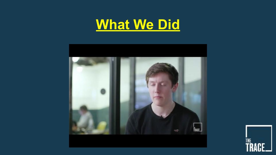



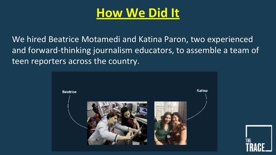We hired Beatrice Motamedi and Katina Paron, two experienced and forward-thinking journalism educators, to assemble a team of teen reporters across the country.



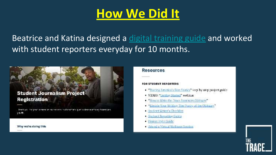Beatrice and Katina designed a digital training guide and worked with student reporters everyday for 10 months.

### **Student Journalism Project Registration**

back vol. the your unsees to our shorts to document guin violence articles America's 学风质

Why wa're doing this

#### **Resources**

#### FOR STUDENT REPORTERS

- . "Tracing America's Gun Stories" step by step project guide-
- · VIDEO: "Getting Started" weblitar
- . "How to Write the Trace Summary Obituary"
- \*Elevate Your Writing: The Poetry of the Obituary."
- Student Writer's Checklist ×.
- Student Reporting Gaine
- Project Style Guide
- **Niteral a Virtual Wellness Session**

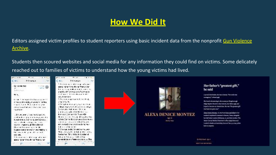Editors assigned victim profiles to student reporters using basic incident data from the nonprofit Gun Violence Archive.

Students then scoured websites and social media for any information they could find on victims. Some delicately reached out to families of victims to understand how the young victims had lived.

| $1.7 - 1.1$                                                                                                                                                                 | $-10$                                                                                                                                                                                       |    | $-1 - 10$                                                                                                                                                                                                             | mar a r                                                                                                                                                                                                                   | $4.45 + 11.5$ |
|-----------------------------------------------------------------------------------------------------------------------------------------------------------------------------|---------------------------------------------------------------------------------------------------------------------------------------------------------------------------------------------|----|-----------------------------------------------------------------------------------------------------------------------------------------------------------------------------------------------------------------------|---------------------------------------------------------------------------------------------------------------------------------------------------------------------------------------------------------------------------|---------------|
| Colea                                                                                                                                                                       | 19.5833                                                                                                                                                                                     |    | C. Matt                                                                                                                                                                                                               | 195833                                                                                                                                                                                                                    |               |
| Car ou we race<br><b>Chevron</b><br>Hr. In.                                                                                                                                 |                                                                                                                                                                                             | W. | 664, 57841946                                                                                                                                                                                                         | School is as an information of const-<br>spending handless with handy structurers.<br>Le victoria de la significación.<br>plasted with an exige our of currently to<br>refiner there may a de-                            |               |
| Link American Industrials<br>in this world working of your M. M. Writing's<br>napidi Activity Management Angeles<br>SAN STORY FOR WIS TO A VISIT VALUE<br>                  |                                                                                                                                                                                             |    | Silver and an except of the<br>2040003276<br>A 56 quintitudium am proprimentation.<br>Principles in the Automotive Country of the Minister<br>Suite also del pose. Mostra<br>the most content of the light results of |                                                                                                                                                                                                                           |               |
|                                                                                                                                                                             | and and company to company and a<br>bundering a Gronvic a strengthesis.<br>and combination and the control<br>the results of the constant in the second<br>Original Social and Chine. He is |    |                                                                                                                                                                                                                       | Format Consultation Consultation<br>they are consistence also part of the<br>táma 2.4 ha illegado a a breata na<br>continue to a state of the and the<br>the Matadian is a statistical test.<br>indicated a fine would be |               |
| bigge in passion into when we helping in<br>between the company of the company of the<br>FORD HTL.<br>Schools as a discuss of a week<br>spand rainardina who hardt and uhan |                                                                                                                                                                                             |    | 5. Selekt. (2) 大陆 : forwing to the Jets.<br>Work and you have a light of which supra-<br>heriother 2th : tháigin Copber of<br>be premiered as made and qu<br>seventhers of a Yerani colors to J. The                  |                                                                                                                                                                                                                           |               |

| 4/4 |                      | 14.5883                                       |  |
|-----|----------------------|-----------------------------------------------|--|
|     |                      | School is as an alternative con-              |  |
|     |                      | spending her time with her frames, her        |  |
|     |                      | Let a complete a superior that                |  |
|     |                      | placies with an experience the service to     |  |
|     |                      | setting a characteristic desi                 |  |
|     | 606 17341740         |                                               |  |
|     |                      | Silver and an experimental method.            |  |
|     | 2040070276           |                                               |  |
|     |                      | 4.5% subject to the automatic contract of the |  |
|     |                      | antiges this was that which could get         |  |
|     |                      | Suite also fel pope. We use                   |  |
|     |                      | parameters to the first service.              |  |
|     |                      | Format War air fis, was say                   |  |
|     |                      | the service of the service port of the        |  |
|     |                      | táma 2.4 ha illegado as tecenos na            |  |
|     |                      | can a long to start that the con-             |  |
|     |                      | me Matadre wie machte wie wa                  |  |
|     | indicated the world. |                                               |  |
|     |                      | S Chesua podre forvint to the Jets.           |  |
|     |                      | When the grades of light a white mean         |  |
|     |                      | heriogher 7th : thdayin Corpbanol.            |  |
|     |                      | the property of the content of the            |  |
|     |                      | seventhose of a frame colors to unit The      |  |
|     |                      |                                               |  |
|     |                      |                                               |  |
|     |                      |                                               |  |





A provid cheer leader, idet toget heavily. "I loverelik was seeinglook," a trend said.

the level rehinancing in the movers at thiggiven right Kidge Rapides Chunch In Day Anicola, but failure said, and hoard to become an observation. She was "the greater affi-God had more given too!"

Alices Evenior Montey, 16, was found shot and itilian to have matter's birdrient's manager in Europe. Treas, storyptic hai helf yang London Britisener, it, and their scolar. The isour Crane; Modual Busniner's office stage room and Londer's deader as instituted but as of Jan. at, some collect had no suspects.

Ay 8dp Electr Apt of **MATTH HARTER** 

**E MONTEZ**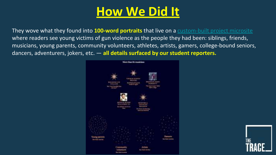They wove what they found into **100-word portraits** that live on a custom-built project microsite where readers see young victims of gun violence as the people they had been: siblings, friends, musicians, young parents, community volunteers, athletes, artists, gamers, college-bound seniors, dancers, adventurers, jokers, etc. — **all details surfaced by our student reporters.** 



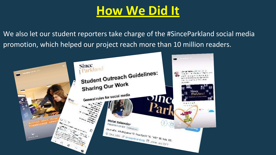We also let our student reporters take charge of the #SinceParkland social media promotion, which helped our project reach more than 10 million readers.

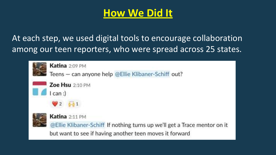

At each step, we used digital tools to encourage collaboration among our teen reporters, who were spread across 25 states.

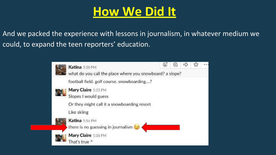And we packed the experience with lessons in journalism, in whatever medium we could, to expand the teen reporters' education.

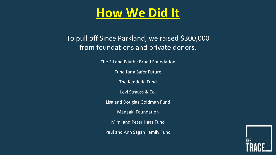### To pull off Since Parkland, we raised \$300,000 from foundations and private donors.

The Eli and Edythe Broad Foundation

Fund for a Safer Future

The Kendeda Fund

Levi Strauss & Co.

Lisa and Douglas Goldman Fund

Manaaki Foundation

Mimi and Peter Haas Fund

Paul and Ann Sagan Family Fund

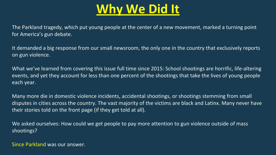# **Why We Did It**

The Parkland tragedy, which put young people at the center of a new movement, marked a turning point for America's gun debate.

It demanded a big response from our small newsroom, the only one in the country that exclusively reports on gun violence.

What we've learned from covering this issue full time since 2015: School shootings are horrific, life-altering events, and yet they account for less than one percent of the shootings that take the lives of young people each year.

Many more die in domestic violence incidents, accidental shootings, or shootings stemming from small disputes in cities across the country. The vast majority of the victims are black and Latinx. Many never have their stories told on the front page (if they get told at all).

We asked ourselves: How could we get people to pay more attention to gun violence outside of mass shootings?

Since Parkland was our answer.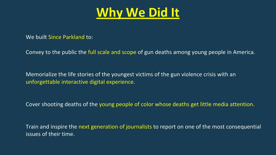

We built Since Parkland to:

Convey to the public the full scale and scope of gun deaths among young people in America.

Memorialize the life stories of the youngest victims of the gun violence crisis with an unforgettable interactive digital experience.

Cover shooting deaths of the young people of color whose deaths get little media attention.

Train and inspire the next generation of journalists to report on one of the most consequential issues of their time.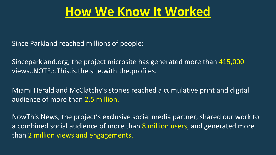Since Parkland reached millions of people:

Sinceparkland.org, the project microsite has generated more than 415,000 views..NOTE.:.This.is.the.site.with.the.profiles.

Miami Herald and McClatchy's stories reached a cumulative print and digital audience of more than 2.5 million.

NowThis News, the project's exclusive social media partner, shared our work to a combined social audience of more than 8 million users, and generated more than 2 million views and engagements.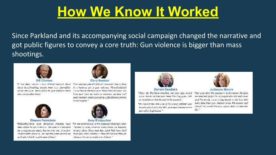Since Parkland and its accompanying social campaign changed the narrative and got public figures to convey a core truth: Gun violence is bigger than mass shootings.



"It has more sincer a new ellinoological, their "One management" also hannously had relined these hereditecting states from here localists. It is helmoes att of gan indicate, illingularitant, about the tions. Incite Offed by gun elaborate there. they, invariably them."



#### Diarine Ferretein

"ChicePallind, 1200 American children have reen talled by our instance. The arrow screwings for schola through today has become one of nearest shootshare's and rest. So two this constant o rests. look and schools is a major and charac-



Cory Booker

2. Seal Plats in American heavy boost Plats' measures. It's law young present is slice on usil. You and IMEG CONTRACT DOMEC JUM SATISFACTION CONTRACTOR monethrought); "



#### Amy Klobuckar

"On the assistance of the Amasud shootlightsich. things' is just, visitors everythem an missing. to stry odent. Since that this, 1,200 bids have died. interimational editorics. Students have to that anshiasa ka meysosinosad inan."



"Siste the Profilms choofise one year are, nestly turns Assement Plan have been bland by gaby. Endorganisations, that has not to be successful

"We need halow the uses of the scarse eclisists was because should are leading MRA, and man committee uses. gaven/c/ legislation."



#### Julianne Moore

"Our your after the massages of Standard Dougles, are around that for the 19 people who last must down and the monly cases wing maple in the fax who have died from gun platence arise. We cannot said stands! and connective as a country of the Same vary 說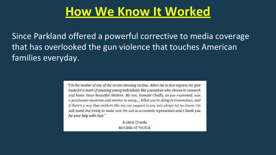Since Parkland offered a powerful corrective to media coverage that has overlooked the gun violence that touches American families everyday.

> "I'm the mother of one of the recent shooting victims. Allow me to first express my gratitude for a team of amazing young individuals like yourselves who choose to research and honor these beautiful children. My son, Damani Chadly, as you expressed, was a passionate musician and mentor to many.... What you're doing is tremendous, and if there's a way that mothers like me can support in any way please let me know. I'm still numb but trying to make sure my son is accurately represented and I thank you for your help with that."

> > Justine Chadly MOTHER OF VICTIM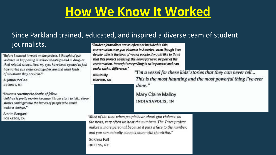## Since Parkland trained, educated, and inspired a diverse team of student

### journalists.

"Before I started to work on the project, I thought of gun violence as happening in school shootings and in drug- or theft-related crimes. Now my eyes have been opened to just how varied gun violence tragedies are and what kinds of situations they occur in."

Aujanae McGee

DETROIT, MI

"Us teens covering the deaths of fellow children is pretty moving because it's our story to tell... these stories could get into the hands of people who could make a change."

Amrita Sangani LOS ALTOS, CA

"Student journalists are so often not included in this conversation over gun violence in America, even though it so deeply affects the lives of young people. I would like to think that this project opens up the doors for us to be part of the conversation. Powerful storytelling is so important and can make such a difference."

Allie Kelly DENVER, CO. "I'm a vessel for these kids' stories that they can never tell... This is the most haunting and the most powerful thing I've ever done."

Mary Claire Malloy **INDIANAPOLIS, IN** 

"Most of the time when people hear about gun violence on the news, very often we hear the numbers. The Trace project makes it more personal because it puts a face to the number, and you can actually connect more with the victim."

Sokhna Fall

QUEENS, NY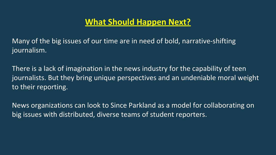## **What Should Happen Next?**

Many of the big issues of our time are in need of bold, narrative-shifting journalism.

There is a lack of imagination in the news industry for the capability of teen journalists. But they bring unique perspectives and an undeniable moral weight to their reporting.

News organizations can look to Since Parkland as a model for collaborating on big issues with distributed, diverse teams of student reporters.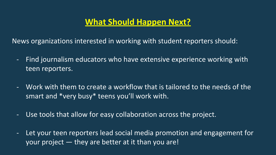## **What Should Happen Next?**

News organizations interested in working with student reporters should:

- Find journalism educators who have extensive experience working with teen reporters.
- Work with them to create a workflow that is tailored to the needs of the smart and \*very busy\* teens you'll work with.
- Use tools that allow for easy collaboration across the project.
- Let your teen reporters lead social media promotion and engagement for your project — they are better at it than you are!